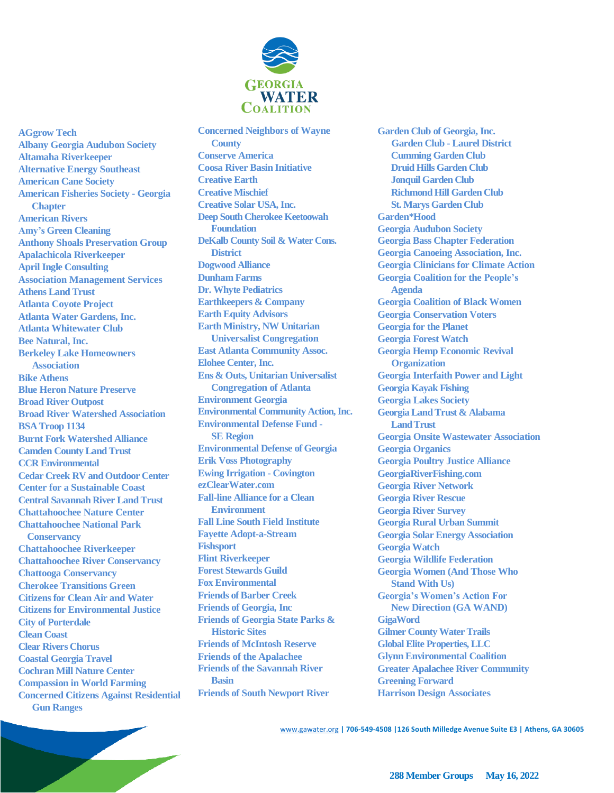

**AGgrow Tech Albany Georgia Audubon Society Altamaha Riverkeeper Alternative Energy Southeast American Cane Society American Fisheries Society - Georgia Chapter American Rivers Amy's Green Cleaning Anthony Shoals Preservation Group Apalachicola Riverkeeper April Ingle Consulting Association Management Services Athens Land Trust Atlanta Coyote Project Atlanta Water Gardens, Inc. Atlanta Whitewater Club Bee Natural, Inc. Berkeley Lake Homeowners Association Bike Athens Blue Heron Nature Preserve Broad River Outpost Broad River Watershed Association BSA Troop 1134 Burnt Fork Watershed Alliance Camden County LandTrust CCR Environmental Cedar Creek RV and Outdoor Center Center for a Sustainable Coast Central Savannah River LandTrust Chattahoochee Nature Center Chattahoochee National Park Conservancy Chattahoochee Riverkeeper Chattahoochee River Conservancy Chattooga Conservancy Cherokee Transitions Green Citizensfor Clean Air and Water Citizens for Environmental Justice City of Porterdale Clean Coast Clear Rivers Chorus Coastal Georgia Travel Cochran Mill Nature Center Compassion in World Farming Concerned Citizens Against Residential Gun Ranges**

**Concerned Neighbors of Wayne County Conserve America Coosa River Basin Initiative Creative Earth Creative Mischief Creative Solar USA, Inc. Deep South Cherokee Keetoowah Foundation DeKalb County Soil & Water Cons. District Dogwood Alliance Dunham Farms Dr. Whyte Pediatrics Earthkeepers & Company Earth Equity Advisors Earth Ministry, NW Unitarian Universalist Congregation East Atlanta Community Assoc. Elohee Center, Inc. Ens & Outs, Unitarian Universalist Congregation of Atlanta Environment Georgia Environmental Community Action,Inc. Environmental Defense Fund - SE Region Environmental Defense of Georgia Erik Voss Photography Ewing Irrigation - Covington ezClearWater.com Fall-line Alliance for a Clean Environment Fall Line South Field Institute Fayette Adopt-a-Stream Fishsport Flint Riverkeeper Forest Stewards Guild Fox Environmental Friends of Barber Creek Friends of Georgia, Inc Friends of Georgia State Parks & Historic Sites Friends of McIntosh Reserve Friends of the Apalachee Friends of the Savannah River Basin Friends of South Newport River**

**Garden Club of Georgia, Inc. Garden Club - Laurel District Cumming Garden Club Druid Hills Garden Club Jonquil Garden Club Richmond Hill Garden Club St. Marys Garden Club Garden\*Hood Georgia Audubon Society Georgia Bass Chapter Federation Georgia Canoeing Association, Inc. Georgia Clinicians for Climate Action Georgia Coalition for the People's Agenda Georgia Coalition of Black Women Georgia Conservation Voters Georgia for the Planet Georgia Forest Watch Georgia Hemp Economic Revival Organization Georgia Interfaith Power and Light Georgia Kayak Fishing Georgia Lakes Society Georgia LandTrust & Alabama LandTrust Georgia Onsite Wastewater Association Georgia Organics Georgia Poultry Justice Alliance [GeorgiaRiverFishing.com](http://georgiariverfishing.com/) Georgia River Network Georgia River Rescue Georgia River Survey Georgia Rural Urban Summit Georgia Solar Energy Association Georgia Watch Georgia Wildlife Federation Georgia Women (And Those Who Stand With Us) Georgia's Women's Action For New Direction (GA WAND) GigaWord Gilmer County Water Trails Global Elite Properties, LLC Glynn Environmental Coalition Greater Apalachee River Community Greening Forward Harrison Design Associates**

[www.gawater.org](http://www.gawater.org/) **| 706-549-4508 |126 South Milledge Avenue Suite E3 | Athens, GA 30605**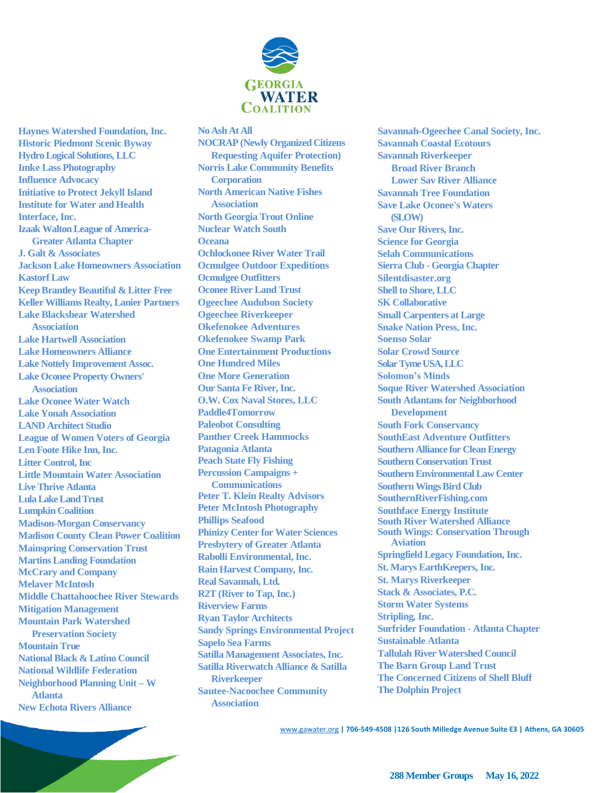

## **No Ash At All**

**Historic Piedmont Scenic Byway HydroLogical Solutions, LLC Imke Lass Photography Influence Advocacy Initiative to Protect Jekyll Island Institute for Water and Health Interface, Inc. Izaak WaltonLeague of America-Greater Atlanta Chapter J. Galt & Associates Jackson Lake Homeowners Association Kastorf Law Keep Brantley Beautiful & Litter Free Keller Williams Realty, Lanier Partners Lake Blackshear Watershed Association Lake Hartwell Association Lake Homeowners Alliance Lake Nottely Improvement Assoc. Lake Oconee Property Owners' Association Lake Oconee Water Watch Lake Yonah Association LAND Architect Studio League of Women Voters of Georgia Len Foote Hike Inn, Inc. Litter Control, Inc Little Mountain Water Association Live Thrive Atlanta Lula Lake Land Trust Lumpkin Coalition Madison-Morgan Conservancy Madison County Clean Power Coalition Mainspring Conservation Trust Martins Landing Foundation McCrary and Company Melaver McIntosh Middle Chattahoochee River Stewards Mitigation Management Mountain Park Watershed Preservation Society Mountain True National Black & Latino Council National Wildlife Federation Neighborhood Planning Unit – W Atlanta New Echota Rivers Alliance**

**Haynes Watershed Foundation, Inc.**

**NOCRAP (Newly Organized Citizens Requesting Aquifer Protection) Norris Lake Community Benefits Corporation North American Native Fishes Association North Georgia Trout Online Nuclear Watch South Oceana Ochlockonee River Water Trail Ocmulgee Outdoor Expeditions Ocmulgee Outfitters Oconee River Land Trust Ogeechee Audubon Society Ogeechee Riverkeeper Okefenokee Adventures Okefenokee Swamp Park One Entertainment Productions One Hundred Miles One More Generation Our Santa Fe River, Inc. O.W. Cox Naval Stores, LLC Paddle4Tomorrow Paleobot Consulting Panther Creek Hammocks Patagonia Atlanta Peach State Fly Fishing Percussion Campaigns + Communications Peter T. Klein Realty Advisors Peter McIntosh Photography Phillips Seafood Phinizy Center for Water Sciences Presbytery of Greater Atlanta Rabolli Environmental, Inc. Rain Harvest Company, Inc. Real Savannah, Ltd. R2T (River to Tap, Inc.) Riverview Farms Ryan Taylor Architects Sandy Springs Environmental Project Sapelo Sea Farms Satilla Management Associates, Inc. Satilla Riverwatch Alliance & Satilla Riverkeeper Sautee-Nacoochee Community Association**

**Savannah-Ogeechee Canal Society, Inc. Savannah Coastal Ecotours Savannah Riverkeeper Broad River Branch Lower Sav River Alliance Savannah Tree Foundation Save Lake Oconee's Waters (SLOW) Save Our Rivers, Inc. Science for Georgia Selah Communications Sierra Club - Georgia Chapter [Silentdisaster.org](http://silentdisaster.org/) Shell to Shore, LLC SK Collaborative Small Carpenters at Large Snake Nation Press, Inc. Soenso Solar Solar Crowd Source Solar Tyme USA, LLC Solomon's Minds Soque River Watershed Association South Atlantans for Neighborhood Development South Fork Conservancy SouthEast Adventure Outfitters Southern Alliance for Clean Energy Southern Conservation Trust Southern Environmental Law Center Southern Wings Bird Club [SouthernRiverFishing.com](http://southernriverfishing.com/) Southface Energy Institute South River Watershed Alliance South Wings: Conservation Through Aviation Springfield Legacy Foundation, Inc. St. Marys EarthKeepers, Inc. St. Marys Riverkeeper Stack & Associates, P.C. Storm Water Systems Stripling, Inc. Surfrider Foundation - Atlanta Chapter Sustainable Atlanta Tallulah River Watershed Council The Barn Group Land Trust The Concerned Citizens of Shell Bluff The Dolphin Project**

[www.gawater.org](http://www.gawater.org/) **| 706-549-4508 |126 South Milledge Avenue Suite E3 | Athens, GA 30605**